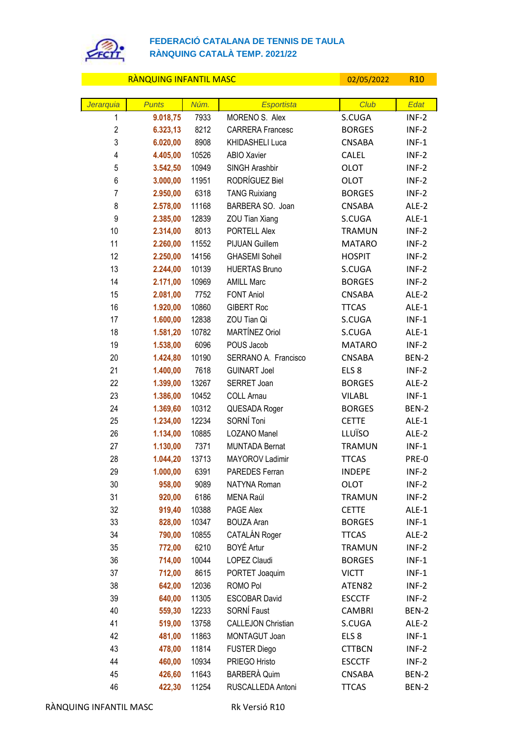

## **FEDERACIÓ CATALANA DE TENNIS DE TAULA RÀNQUING CATALÀ TEMP. 2021/22**

## RÀNQUING INFANTIL MASC CONTROL DE L'ON 1999/05/2022 R10

| Jerarquia      | <b>Punts</b>     | Núm.         | <b>Esportista</b>         | <b>Club</b>                   | Edat             |
|----------------|------------------|--------------|---------------------------|-------------------------------|------------------|
| 1              | 9.018,75         | 7933         | MORENO S. Alex            | S.CUGA                        | $INF-2$          |
| $\overline{2}$ | 6.323,13         | 8212         | <b>CARRERA Francesc</b>   | <b>BORGES</b>                 | $INF-2$          |
| 3              | 6.020,00         | 8908         | KHIDASHELI Luca           | <b>CNSABA</b>                 | $INF-1$          |
| 4              | 4.405,00         | 10526        | <b>ABIO Xavier</b>        | <b>CALEL</b>                  | $INF-2$          |
| 5              | 3.542,50         | 10949        | SINGH Arashbir            | <b>OLOT</b>                   | $INF-2$          |
| 6              | 3.000,00         | 11951        | RODRÍGUEZ Biel            | <b>OLOT</b>                   | $INF-2$          |
| $\overline{7}$ | 2.950,00         | 6318         | <b>TANG Ruixiang</b>      | <b>BORGES</b>                 | $INF-2$          |
| 8              | 2.578,00         | 11168        | BARBERA SO. Joan          | <b>CNSABA</b>                 | ALE-2            |
| 9              | 2.385,00         | 12839        | ZOU Tian Xiang            | S.CUGA                        | ALE-1            |
| 10             | 2.314,00         | 8013         | PORTELL Alex              | <b>TRAMUN</b>                 | $INF-2$          |
| 11             | 2.260,00         | 11552        | <b>PIJUAN Guillem</b>     | <b>MATARO</b>                 | $INF-2$          |
| 12             | 2.250,00         | 14156        | <b>GHASEMI Soheil</b>     | <b>HOSPIT</b>                 | $INF-2$          |
| 13             | 2.244,00         | 10139        | <b>HUERTAS Bruno</b>      | S.CUGA                        | $INF-2$          |
| 14             | 2.171,00         | 10969        | <b>AMILL Marc</b>         | <b>BORGES</b>                 | $INF-2$          |
| 15             | 2.081,00         | 7752         | <b>FONT Aniol</b>         | <b>CNSABA</b>                 | ALE-2            |
| 16             | 1.920,00         | 10860        | <b>GIBERT Roc</b>         | <b>TTCAS</b>                  | ALE-1            |
| 17             | 1.600,00         | 12838        | ZOU Tian Qi               | S.CUGA                        | $INF-1$          |
| 18             | 1.581,20         | 10782        | MARTÍNEZ Oriol            | S.CUGA                        | ALE-1            |
| 19             | 1.538,00         | 6096         | POUS Jacob                | <b>MATARO</b>                 | $INF-2$          |
| 20             | 1.424,80         | 10190        | SERRANO A. Francisco      | <b>CNSABA</b>                 | BEN-2            |
| 21             | 1.400,00         | 7618         | <b>GUINART Joel</b>       | ELS <sub>8</sub>              | $INF-2$          |
| 22             | 1.399,00         | 13267        | SERRET Joan               | <b>BORGES</b>                 | ALE-2            |
| 23             | 1.386,00         | 10452        | <b>COLL Arnau</b>         | <b>VILABL</b>                 | $INF-1$          |
| 24             | 1.369,60         | 10312        | QUESADA Roger             | <b>BORGES</b>                 | BEN-2            |
| 25             | 1.234,00         | 12234        | SORNÍ Toni                | <b>CETTE</b>                  | ALE-1            |
| 26             | 1.134,00         | 10885        | LOZANO Manel              | LLUÏSO                        | ALE-2            |
| 27             | 1.130,00         | 7371         | <b>MUNTADA Bernat</b>     | <b>TRAMUN</b>                 | $INF-1$          |
| 28             | 1.044,20         | 13713        | MAYOROV Ladimir           | <b>TTCAS</b>                  | PRE-0            |
| 29             | 1.000,00         | 6391         | PAREDES Ferran            | <b>INDEPE</b>                 | $INF-2$          |
| 30             | 958,00           | 9089<br>6186 | NATYNA Roman<br>MENA Raúl | <b>OLOT</b>                   | $INF-2$          |
| 31<br>32       | 920,00<br>919,40 | 10388        | PAGE Alex                 | <b>TRAMUN</b><br><b>CETTE</b> | $INF-2$<br>ALE-1 |
| 33             | 828,00           | 10347        | <b>BOUZA Aran</b>         | <b>BORGES</b>                 | $INF-1$          |
| 34             | 790,00           | 10855        | CATALÁN Roger             | <b>TTCAS</b>                  | ALE-2            |
| 35             | 772,00           | 6210         | BOYÉ Artur                | <b>TRAMUN</b>                 | $INF-2$          |
| 36             | 714,00           | 10044        | <b>LOPEZ Claudi</b>       | <b>BORGES</b>                 | $INF-1$          |
| 37             | 712,00           | 8615         | PORTET Joaquim            | <b>VICTT</b>                  | $INF-1$          |
| 38             | 642,00           | 12036        | ROMO Pol                  | ATEN82                        | $INF-2$          |
| 39             | 640,00           | 11305        | <b>ESCOBAR David</b>      | <b>ESCCTF</b>                 | $INF-2$          |
| 40             | 559,30           | 12233        | SORNÍ Faust               | <b>CAMBRI</b>                 | BEN-2            |
| 41             | 519,00           | 13758        | <b>CALLEJON Christian</b> | S.CUGA                        | ALE-2            |
| 42             | 481,00           | 11863        | MONTAGUT Joan             | ELS <sub>8</sub>              | $INF-1$          |
| 43             | 478,00           | 11814        | <b>FUSTER Diego</b>       | <b>CTTBCN</b>                 | $INF-2$          |
| 44             | 460,00           | 10934        | PRIEGO Hristo             | <b>ESCCTF</b>                 | $INF-2$          |
| 45             | 426,60           | 11643        | BARBERÀ Quim              | <b>CNSABA</b>                 | BEN-2            |
| 46             | 422,30           | 11254        | RUSCALLEDA Antoni         | <b>TTCAS</b>                  | BEN-2            |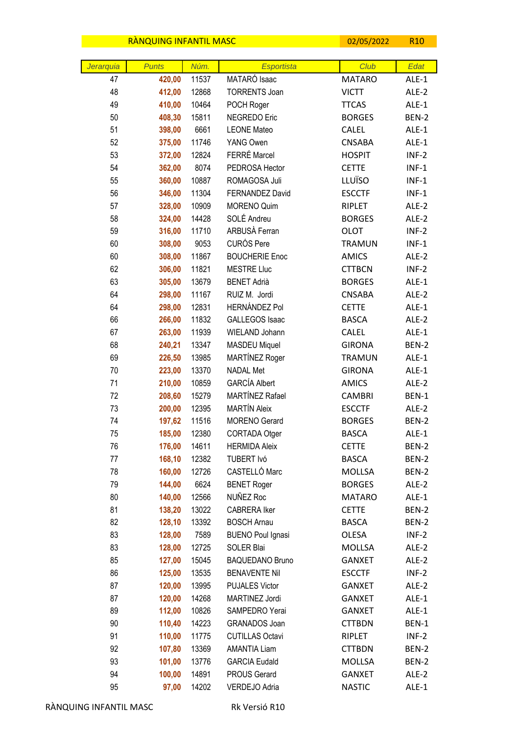|           | <b>RANQUING INFANTIL MASC</b> |       |                          | 02/05/2022    | R <sub>10</sub> |
|-----------|-------------------------------|-------|--------------------------|---------------|-----------------|
|           |                               |       |                          |               |                 |
| Jerarquia | <b>Punts</b>                  | Núm.  | Esportista               | Club          | Edat            |
| 47        | 420,00                        | 11537 | MATARÓ Isaac             | <b>MATARO</b> | ALE-1           |
| 48        | 412,00                        | 12868 | <b>TORRENTS Joan</b>     | <b>VICTT</b>  | ALE-2           |
| 49        | 410,00                        | 10464 | POCH Roger               | <b>TTCAS</b>  | ALE-1           |
| 50        | 408,30                        | 15811 | NEGREDO Eric             | <b>BORGES</b> | BEN-2           |
| 51        | 398,00                        | 6661  | <b>LEONE Mateo</b>       | <b>CALEL</b>  | ALE-1           |
| 52        | 375,00                        | 11746 | YANG Owen                | <b>CNSABA</b> | ALE-1           |
| 53        | 372,00                        | 12824 | FERRÉ Marcel             | <b>HOSPIT</b> | $INF-2$         |
| 54        | 362,00                        | 8074  | PEDROSA Hector           | <b>CETTE</b>  | $INF-1$         |
| 55        | 360,00                        | 10887 | ROMAGOSA Juli            | LLUÏSO        | $INF-1$         |
| 56        | 346,00                        | 11304 | FERNANDEZ David          | <b>ESCCTF</b> | $INF-1$         |
| 57        | 328,00                        | 10909 | <b>MORENO Quim</b>       | RIPLET        | ALE-2           |
| 58        | 324,00                        | 14428 | SOLÉ Andreu              | <b>BORGES</b> | ALE-2           |
| 59        | 316,00                        | 11710 | ARBUSÀ Ferran            | <b>OLOT</b>   | $INF-2$         |
| 60        | 308,00                        | 9053  | <b>CURÓS Pere</b>        | <b>TRAMUN</b> | $INF-1$         |
| 60        | 308,00                        | 11867 | <b>BOUCHERIE Enoc</b>    | <b>AMICS</b>  | ALE-2           |
| 62        | 306,00                        | 11821 | <b>MESTRE Lluc</b>       | <b>CTTBCN</b> | $INF-2$         |
| 63        | 305,00                        | 13679 | <b>BENET Adrià</b>       | <b>BORGES</b> | ALE-1           |
| 64        | 298,00                        | 11167 | RUIZ M. Jordi            | <b>CNSABA</b> | ALE-2           |
| 64        | 298,00                        | 12831 | <b>HERNÁNDEZ Pol</b>     | <b>CETTE</b>  | ALE-1           |
| 66        | 266,00                        | 11832 | <b>GALLEGOS Isaac</b>    | <b>BASCA</b>  | ALE-2           |
| 67        | 263,00                        | 11939 | WIELAND Johann           | <b>CALEL</b>  | ALE-1           |
| 68        | 240,21                        | 13347 | <b>MASDEU Miquel</b>     | <b>GIRONA</b> | BEN-2           |
| 69        | 226,50                        | 13985 | MARTÍNEZ Roger           | <b>TRAMUN</b> | ALE-1           |
| 70        | 223,00                        | 13370 | <b>NADAL Met</b>         | <b>GIRONA</b> | ALE-1           |
| 71        | 210,00                        | 10859 | <b>GARCÍA Albert</b>     | <b>AMICS</b>  | ALE-2           |
| 72        | 208,60                        | 15279 | MARTÍNEZ Rafael          | <b>CAMBRI</b> | BEN-1           |
| 73        | 200,00                        | 12395 | <b>MARTÍN Aleix</b>      | <b>ESCCTF</b> | ALE-2           |
| 74        | 197,62                        | 11516 | <b>MORENO</b> Gerard     | <b>BORGES</b> | BEN-2           |
| 75        | 185,00                        | 12380 | CORTADA Otger            | <b>BASCA</b>  | $ALE-1$         |
| 76        | 176,00                        | 14611 | <b>HERMIDA Aleix</b>     | <b>CETTE</b>  | BEN-2           |
| 77        | 168,10                        | 12382 | TUBERT Ivó               | <b>BASCA</b>  | BEN-2           |
| 78        | 160,00                        | 12726 | CASTELLÓ Marc            | MOLLSA        | BEN-2           |
| 79        | 144,00                        | 6624  | <b>BENET Roger</b>       | <b>BORGES</b> | ALE-2           |
| 80        | 140,00                        | 12566 | NUÑEZ Roc                | <b>MATARO</b> | ALE-1           |
| 81        | 138,20                        | 13022 | <b>CABRERA Iker</b>      | <b>CETTE</b>  | BEN-2           |
| 82        | 128,10                        | 13392 | <b>BOSCH Arnau</b>       | <b>BASCA</b>  | BEN-2           |
| 83        | 128,00                        | 7589  | <b>BUENO Poul Ignasi</b> | OLESA         | $INF-2$         |
| 83        | 128,00                        | 12725 | SOLER Blai               | MOLLSA        | ALE-2           |
| 85        | 127,00                        | 15045 | <b>BAQUEDANO Bruno</b>   | <b>GANXET</b> | ALE-2           |
| 86        | 125,00                        | 13535 | <b>BENAVENTE Nil</b>     | <b>ESCCTF</b> | $INF-2$         |
| 87        | 120,00                        | 13995 | <b>PUJALES Victor</b>    | <b>GANXET</b> | ALE-2           |
| 87        | 120,00                        | 14268 | MARTINEZ Jordi           | <b>GANXET</b> | ALE-1           |
| 89        | 112,00                        | 10826 | SAMPEDRO Yerai           | <b>GANXET</b> | ALE-1           |
| 90        | 110,40                        | 14223 | GRANADOS Joan            | <b>CTTBDN</b> | BEN-1           |
| 91        | 110,00                        | 11775 | <b>CUTILLAS Octavi</b>   | RIPLET        | $INF-2$         |
| 92        | 107,80                        | 13369 | <b>AMANTIA Liam</b>      | <b>CTTBDN</b> | BEN-2           |
| 93        | 101,00                        | 13776 | <b>GARCIA Eudald</b>     | MOLLSA        | BEN-2           |
| 94        | 100,00                        | 14891 | PROUS Gerard             | <b>GANXET</b> | ALE-2           |
| 95        | 97,00                         | 14202 | VERDEJO Adria            | <b>NASTIC</b> | ALE-1           |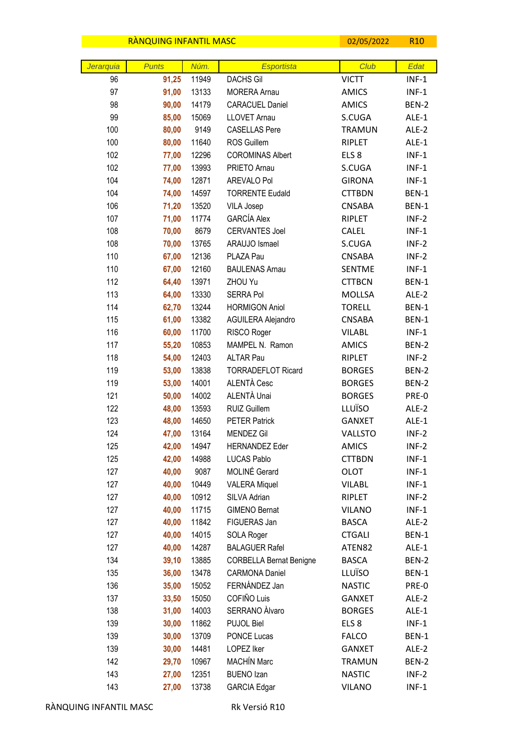|           | <b>RANQUING INFANTIL MASC</b> |       |                                | 02/05/2022       | R <sub>10</sub> |
|-----------|-------------------------------|-------|--------------------------------|------------------|-----------------|
|           |                               |       |                                |                  |                 |
| Jerarquia | <b>Punts</b>                  | Núm.  | Esportista                     | Club             | Edat            |
| 96        | 91,25                         | 11949 | <b>DACHS Gil</b>               | <b>VICTT</b>     | $INF-1$         |
| 97        | 91,00                         | 13133 | <b>MORERA Arnau</b>            | <b>AMICS</b>     | $INF-1$         |
| 98        | 90,00                         | 14179 | <b>CARACUEL Daniel</b>         | <b>AMICS</b>     | BEN-2           |
| 99        | 85,00                         | 15069 | <b>LLOVET Arnau</b>            | S.CUGA           | ALE-1           |
| 100       | 80,00                         | 9149  | <b>CASELLAS Pere</b>           | <b>TRAMUN</b>    | ALE-2           |
| 100       | 80,00                         | 11640 | ROS Guillem                    | RIPLET           | ALE-1           |
| 102       | 77,00                         | 12296 | <b>COROMINAS Albert</b>        | ELS <sub>8</sub> | $INF-1$         |
| 102       | 77,00                         | 13993 | PRIETO Arnau                   | S.CUGA           | $INF-1$         |
| 104       | 74,00                         | 12871 | AREVALO Pol                    | <b>GIRONA</b>    | $INF-1$         |
| 104       | 74,00                         | 14597 | <b>TORRENTE Eudald</b>         | <b>CTTBDN</b>    | BEN-1           |
| 106       | 71,20                         | 13520 | VILA Josep                     | <b>CNSABA</b>    | <b>BEN-1</b>    |
| 107       | 71,00                         | 11774 | <b>GARCÍA Alex</b>             | RIPLET           | $INF-2$         |
| 108       | 70,00                         | 8679  | <b>CERVANTES Joel</b>          | <b>CALEL</b>     | $INF-1$         |
| 108       | 70,00                         | 13765 | ARAUJO Ismael                  | S.CUGA           | $INF-2$         |
| 110       | 67,00                         | 12136 | PLAZA Pau                      | <b>CNSABA</b>    | $INF-2$         |
| 110       | 67,00                         | 12160 | <b>BAULENAS Arnau</b>          | <b>SENTME</b>    | $INF-1$         |
| 112       | 64,40                         | 13971 | ZHOU Yu                        | <b>CTTBCN</b>    | BEN-1           |
| 113       | 64,00                         | 13330 | <b>SERRA Pol</b>               | <b>MOLLSA</b>    | ALE-2           |
| 114       | 62,70                         | 13244 | <b>HORMIGON Aniol</b>          | <b>TORELL</b>    | BEN-1           |
| 115       | 61,00                         | 13382 | AGUILERA Alejandro             | <b>CNSABA</b>    | BEN-1           |
| 116       | 60,00                         | 11700 | RISCO Roger                    | <b>VILABL</b>    | $INF-1$         |
| 117       | 55,20                         | 10853 | MAMPEL N. Ramon                | <b>AMICS</b>     | BEN-2           |
| 118       | 54,00                         | 12403 | <b>ALTAR Pau</b>               | RIPLET           | $INF-2$         |
| 119       | 53,00                         | 13838 | <b>TORRADEFLOT Ricard</b>      | <b>BORGES</b>    | BEN-2           |
| 119       | 53,00                         | 14001 | ALENTÀ Cesc                    | <b>BORGES</b>    | BEN-2           |
| 121       | 50,00                         | 14002 | ALENTÀ Unai                    | <b>BORGES</b>    | PRE-0           |
| 122       | 48,00                         | 13593 | <b>RUIZ Guillem</b>            | LLUÏSO           | ALE-2           |
| 123       | 48,00                         | 14650 | <b>PETER Patrick</b>           | <b>GANXET</b>    | ALE-1           |
| 124       | 47,00                         | 13164 | <b>MENDEZ Gil</b>              | <b>VALLSTO</b>   | $INF-2$         |
| 125       | 42,00                         | 14947 | <b>HERNANDEZ Eder</b>          | <b>AMICS</b>     | $INF-2$         |
| 125       | 42,00                         | 14988 | <b>LUCAS Pablo</b>             | <b>CTTBDN</b>    | $INF-1$         |
| 127       | 40,00                         | 9087  | MOLINÉ Gerard                  | <b>OLOT</b>      | $INF-1$         |
| 127       | 40,00                         | 10449 | <b>VALERA Miquel</b>           | <b>VILABL</b>    | $INF-1$         |
| 127       | 40,00                         | 10912 | SILVA Adrian                   | RIPLET           | $INF-2$         |
| 127       | 40,00                         | 11715 | <b>GIMENO Bernat</b>           | <b>VILANO</b>    | $INF-1$         |
| 127       | 40,00                         | 11842 | FIGUERAS Jan                   | <b>BASCA</b>     | ALE-2           |
| 127       | 40,00                         | 14015 | SOLA Roger                     | <b>CTGALI</b>    | BEN-1           |
| 127       | 40,00                         | 14287 | <b>BALAGUER Rafel</b>          | ATEN82           | ALE-1           |
| 134       | 39,10                         | 13885 | <b>CORBELLA Bernat Benigne</b> | <b>BASCA</b>     | BEN-2           |
| 135       | 36,00                         | 13478 | <b>CARMONA Daniel</b>          | LLUÏSO           | BEN-1           |
| 136       | 35,00                         | 15052 | FERNÁNDEZ Jan                  | <b>NASTIC</b>    | PRE-0           |
| 137       | 33,50                         | 15050 | COFIÑO Luis                    | <b>GANXET</b>    | ALE-2           |
| 138       | 31,00                         | 14003 | SERRANO Àlvaro                 | <b>BORGES</b>    | ALE-1           |
| 139       | 30,00                         | 11862 | PUJOL Biel                     | ELS <sub>8</sub> | $INF-1$         |
| 139       | 30,00                         | 13709 | <b>PONCE Lucas</b>             | <b>FALCO</b>     | BEN-1           |
| 139       | 30,00                         | 14481 | LOPEZ Iker                     | <b>GANXET</b>    | ALE-2           |
| 142       | 29,70                         | 10967 | <b>MACHÍN Marc</b>             | <b>TRAMUN</b>    | BEN-2           |
| 143       | 27,00                         | 12351 | <b>BUENO Izan</b>              | <b>NASTIC</b>    | $INF-2$         |
| 143       | 27,00                         | 13738 | <b>GARCIA Edgar</b>            | <b>VILANO</b>    | $INF-1$         |

 $\overline{\phantom{a}}$